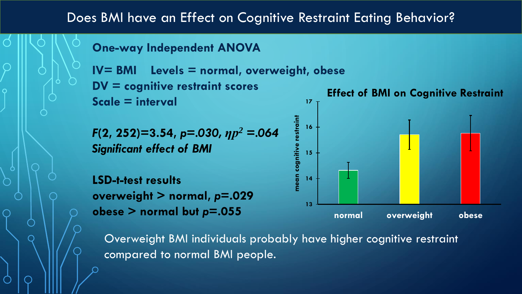## Does BMI have an Effect on Cognitive Restraint Eating Behavior?

**One-way Independent ANOVA**

**IV= BMI Levels = normal, overweight, obese DV = cognitive restraint scores Scale = interval 17**

*F***(2, 252)=3.54,** *p=.030, ƞp<sup>2</sup> =.064 Significant effect of BMI*

**LSD-t-test results overweight > normal,** *p***=.029 obese > normal but** *p***=.055** 



Overweight BMI individuals probably have higher cognitive restraint compared to normal BMI people.